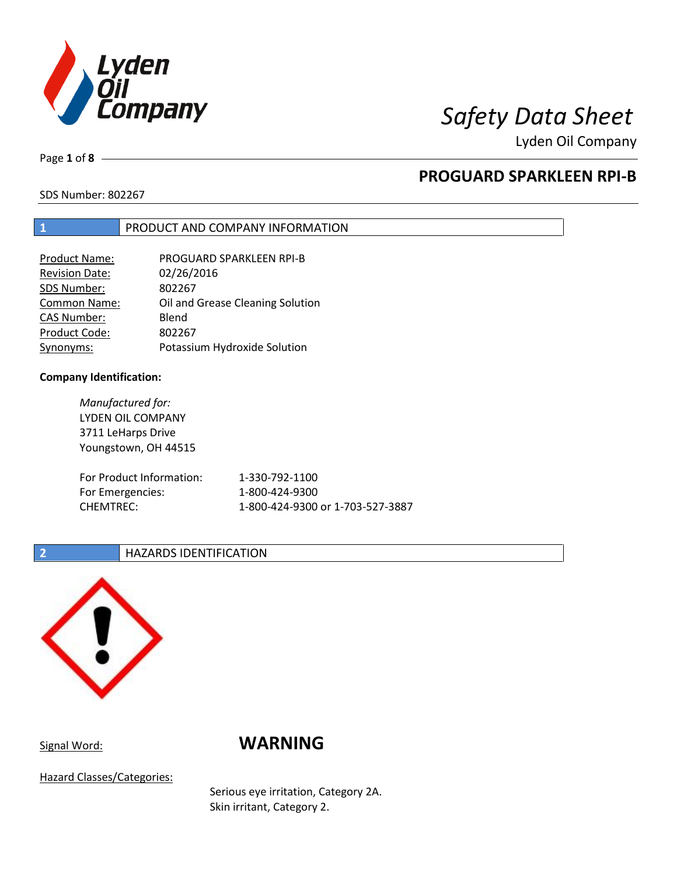

Lyden Oil Company

Page **1** of **8**

# **PROGUARD SPARKLEEN RPI-B**

SDS Number: 802267

## **1** PRODUCT AND COMPANY INFORMATION

| <b>Product Name:</b> | PROGUARD SPARKLEEN RPI-B         |
|----------------------|----------------------------------|
| Revision Date:       | 02/26/2016                       |
| SDS Number:          | 802267                           |
| <b>Common Name:</b>  | Oil and Grease Cleaning Solution |
| <b>CAS Number:</b>   | Blend                            |
| Product Code:        | 802267                           |
| Synonyms:            | Potassium Hydroxide Solution     |

### **Company Identification:**

*Manufactured for:* LYDEN OIL COMPANY 3711 LeHarps Drive Youngstown, OH 44515 For Product Information: 1-330-792-1100 For Emergencies: 1-800-424-9300 CHEMTREC: 1-800-424-9300 or 1-703-527-3887

### **2 HAZARDS IDENTIFICATION**



# Signal Word: **WARNING**

Hazard Classes/Categories:

Serious eye irritation, Category 2A. Skin irritant, Category 2.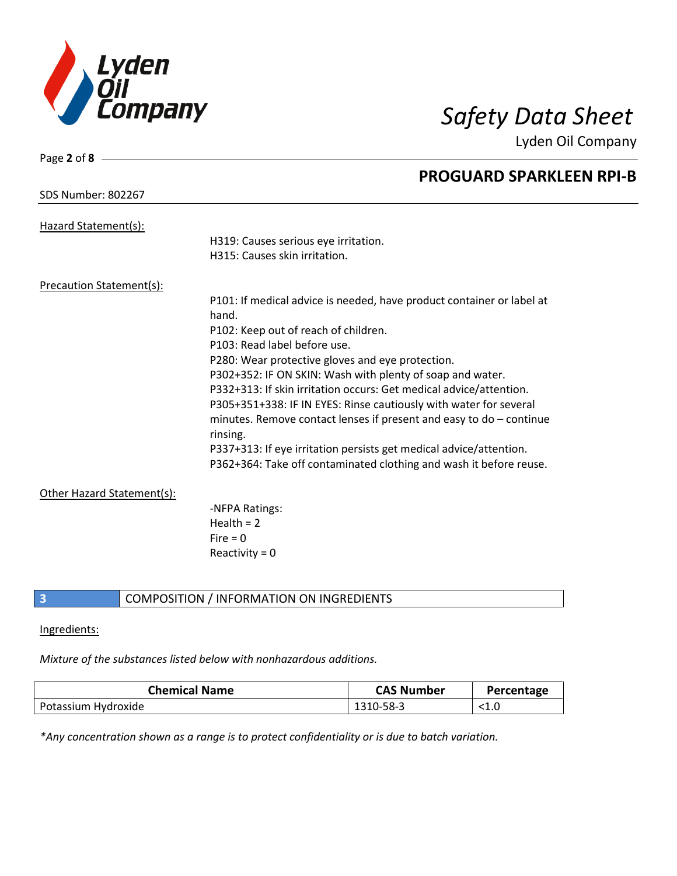

Lyden Oil Company

| Page $2$ of $8 -$               |                                                                                   |
|---------------------------------|-----------------------------------------------------------------------------------|
|                                 | <b>PROGUARD SPARKLEEN RPI-B</b>                                                   |
| <b>SDS Number: 802267</b>       |                                                                                   |
| Hazard Statement(s):            |                                                                                   |
|                                 | H319: Causes serious eye irritation.                                              |
|                                 | H315: Causes skin irritation.                                                     |
| <b>Precaution Statement(s):</b> |                                                                                   |
|                                 | P101: If medical advice is needed, have product container or label at             |
|                                 | hand.                                                                             |
|                                 | P102: Keep out of reach of children.                                              |
|                                 | P103: Read label before use.                                                      |
|                                 | P280: Wear protective gloves and eye protection.                                  |
|                                 | P302+352: IF ON SKIN: Wash with plenty of soap and water.                         |
|                                 | P332+313: If skin irritation occurs: Get medical advice/attention.                |
|                                 | P305+351+338: IF IN EYES: Rinse cautiously with water for several                 |
|                                 | minutes. Remove contact lenses if present and easy to $do$ – continue<br>rinsing. |
|                                 | P337+313: If eye irritation persists get medical advice/attention.                |
|                                 | P362+364: Take off contaminated clothing and wash it before reuse.                |
| Other Hazard Statement(s):      |                                                                                   |
|                                 | -NFPA Ratings:                                                                    |
|                                 | Health $= 2$                                                                      |
|                                 | Fire $= 0$                                                                        |
|                                 | Reactivity = $0$                                                                  |

## **3** COMPOSITION / INFORMATION ON INGREDIENTS

### Ingredients:

## *Mixture of the substances listed below with nonhazardous additions.*

| <b>Chemical Name</b> | <b>CAS Number</b> | Percentage   |
|----------------------|-------------------|--------------|
| Potassium Hydroxide  | 1310-58-3         | $<$ 1.0 $\,$ |

*\*Any concentration shown as a range is to protect confidentiality or is due to batch variation.*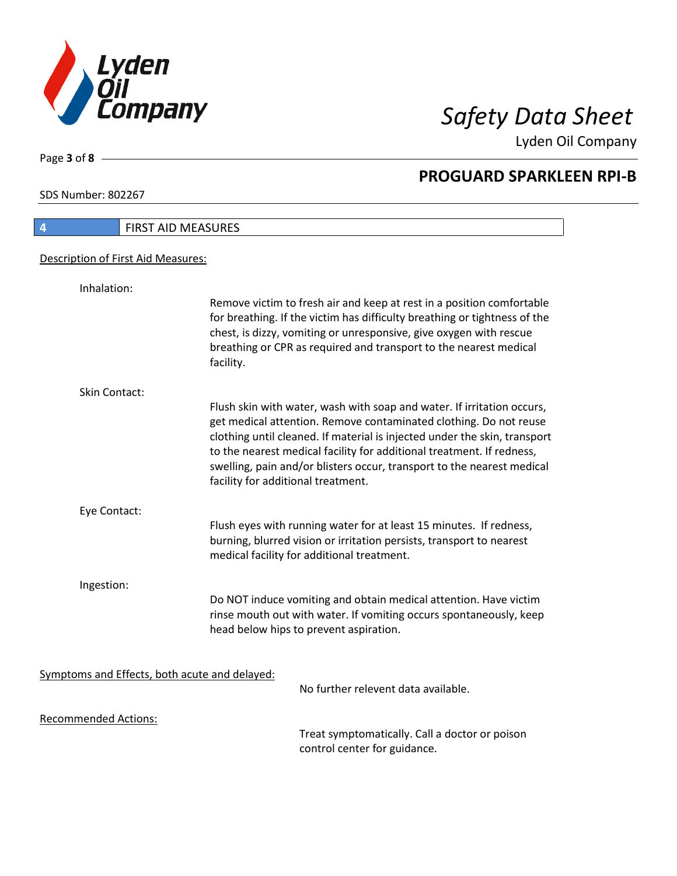

Lyden Oil Company

SDS Number: 802267

Page **3** of **8**

| <b>FIRST AID MEASURES</b><br>4                |                                                                                                                                                                                                                                                                                                                                                                                                                   |
|-----------------------------------------------|-------------------------------------------------------------------------------------------------------------------------------------------------------------------------------------------------------------------------------------------------------------------------------------------------------------------------------------------------------------------------------------------------------------------|
| Description of First Aid Measures:            |                                                                                                                                                                                                                                                                                                                                                                                                                   |
| Inhalation:                                   |                                                                                                                                                                                                                                                                                                                                                                                                                   |
|                                               | Remove victim to fresh air and keep at rest in a position comfortable<br>for breathing. If the victim has difficulty breathing or tightness of the<br>chest, is dizzy, vomiting or unresponsive, give oxygen with rescue<br>breathing or CPR as required and transport to the nearest medical<br>facility.                                                                                                        |
| Skin Contact:                                 |                                                                                                                                                                                                                                                                                                                                                                                                                   |
|                                               | Flush skin with water, wash with soap and water. If irritation occurs,<br>get medical attention. Remove contaminated clothing. Do not reuse<br>clothing until cleaned. If material is injected under the skin, transport<br>to the nearest medical facility for additional treatment. If redness,<br>swelling, pain and/or blisters occur, transport to the nearest medical<br>facility for additional treatment. |
| Eye Contact:                                  |                                                                                                                                                                                                                                                                                                                                                                                                                   |
|                                               | Flush eyes with running water for at least 15 minutes. If redness,<br>burning, blurred vision or irritation persists, transport to nearest<br>medical facility for additional treatment.                                                                                                                                                                                                                          |
| Ingestion:                                    |                                                                                                                                                                                                                                                                                                                                                                                                                   |
|                                               | Do NOT induce vomiting and obtain medical attention. Have victim<br>rinse mouth out with water. If vomiting occurs spontaneously, keep<br>head below hips to prevent aspiration.                                                                                                                                                                                                                                  |
|                                               |                                                                                                                                                                                                                                                                                                                                                                                                                   |
| Symptoms and Effects, both acute and delayed: | No further relevent data available.                                                                                                                                                                                                                                                                                                                                                                               |
| <b>Recommended Actions:</b>                   |                                                                                                                                                                                                                                                                                                                                                                                                                   |
|                                               | Treat symptomatically. Call a doctor or poison                                                                                                                                                                                                                                                                                                                                                                    |

control center for guidance.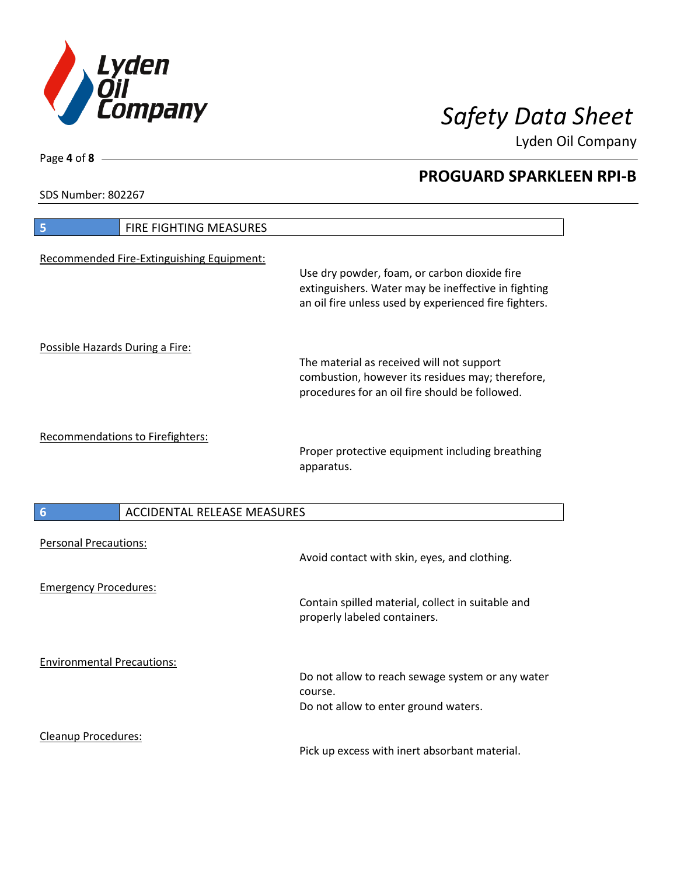

Lyden Oil Company

SDS Number: 802267

Page **4** of **8**

 $\overline{\phantom{a}}$ 

| 5                                 | FIRE FIGHTING MEASURES                    |                                                                                                                                                              |
|-----------------------------------|-------------------------------------------|--------------------------------------------------------------------------------------------------------------------------------------------------------------|
|                                   | Recommended Fire-Extinguishing Equipment: | Use dry powder, foam, or carbon dioxide fire<br>extinguishers. Water may be ineffective in fighting<br>an oil fire unless used by experienced fire fighters. |
| Possible Hazards During a Fire:   |                                           |                                                                                                                                                              |
|                                   |                                           | The material as received will not support<br>combustion, however its residues may; therefore,<br>procedures for an oil fire should be followed.              |
|                                   | <b>Recommendations to Firefighters:</b>   | Proper protective equipment including breathing<br>apparatus.                                                                                                |
| $6\phantom{1}6$                   | <b>ACCIDENTAL RELEASE MEASURES</b>        |                                                                                                                                                              |
| <b>Personal Precautions:</b>      |                                           | Avoid contact with skin, eyes, and clothing.                                                                                                                 |
| <b>Emergency Procedures:</b>      |                                           | Contain spilled material, collect in suitable and<br>properly labeled containers.                                                                            |
| <b>Environmental Precautions:</b> |                                           | Do not allow to reach sewage system or any water<br>course.<br>Do not allow to enter ground waters.                                                          |
| <b>Cleanup Procedures:</b>        |                                           |                                                                                                                                                              |

Pick up excess with inert absorbant material.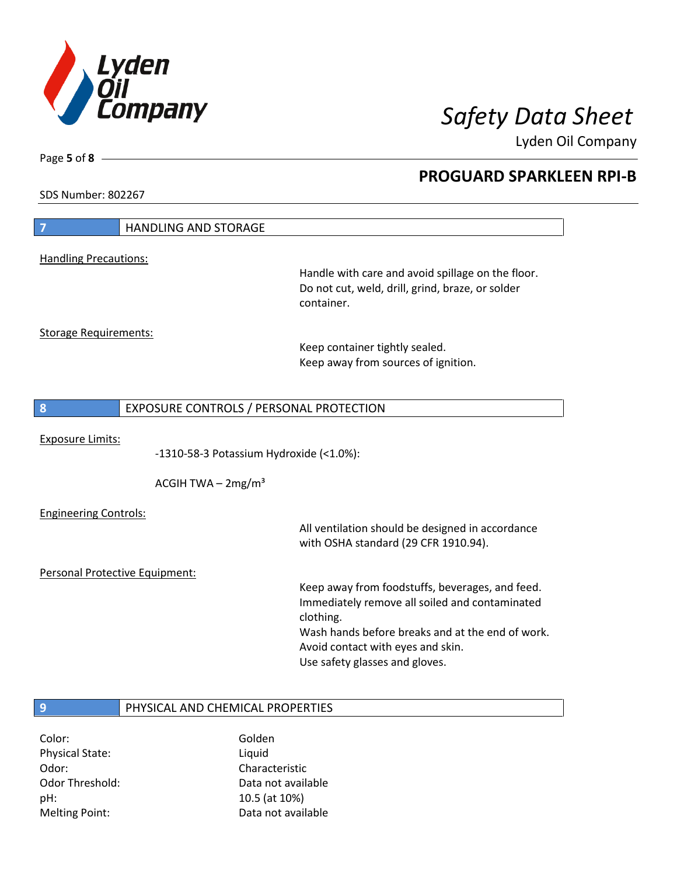

Lyden Oil Company

SDS Number: 802267

Page **5** of **8**

| 7                              | <b>HANDLING AND STORAGE</b>             |                                                                                                                     |
|--------------------------------|-----------------------------------------|---------------------------------------------------------------------------------------------------------------------|
| <b>Handling Precautions:</b>   |                                         |                                                                                                                     |
|                                |                                         | Handle with care and avoid spillage on the floor.<br>Do not cut, weld, drill, grind, braze, or solder<br>container. |
| <b>Storage Requirements:</b>   |                                         |                                                                                                                     |
|                                |                                         | Keep container tightly sealed.<br>Keep away from sources of ignition.                                               |
| 8                              | EXPOSURE CONTROLS / PERSONAL PROTECTION |                                                                                                                     |
|                                |                                         |                                                                                                                     |
| <b>Exposure Limits:</b>        | -1310-58-3 Potassium Hydroxide (<1.0%): |                                                                                                                     |
|                                | ACGIH TWA $-2mg/m3$                     |                                                                                                                     |
| <b>Engineering Controls:</b>   |                                         |                                                                                                                     |
|                                |                                         | All ventilation should be designed in accordance<br>with OSHA standard (29 CFR 1910.94).                            |
| Personal Protective Equipment: |                                         |                                                                                                                     |
|                                |                                         | Keep away from foodstuffs, beverages, and feed.<br>Immediately remove all soiled and contaminated<br>clothing.      |
|                                |                                         | Wash hands before breaks and at the end of work.<br>Avoid contact with eyes and skin.                               |
|                                |                                         | Use safety glasses and gloves.                                                                                      |
| 9                              | PHYSICAL AND CHEMICAL PROPERTIES        |                                                                                                                     |
|                                |                                         |                                                                                                                     |

Color: Golden Physical State: Liquid Odor: Characteristic pH: 10.5 (at 10%)

Odor Threshold: Data not available Melting Point: Case Controller Muslim Data not available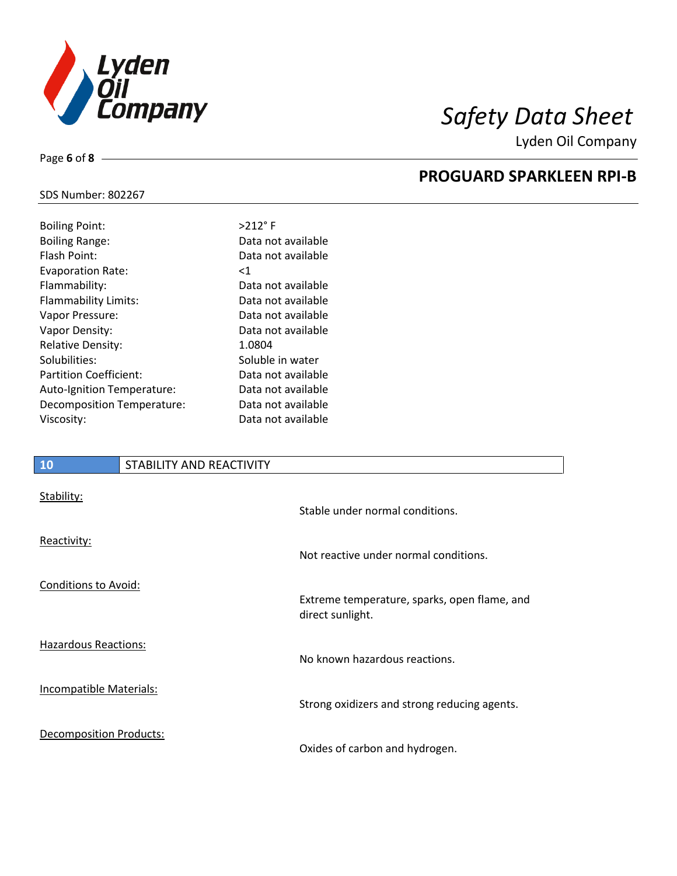

Lyden Oil Company

## SDS Number: 802267

Page **6** of **8**

| <b>Boiling Point:</b>         | $>212$ °F          |
|-------------------------------|--------------------|
| <b>Boiling Range:</b>         | Data not available |
| Flash Point:                  | Data not available |
| <b>Evaporation Rate:</b>      | $<$ 1              |
| Flammability:                 | Data not available |
| Flammability Limits:          | Data not available |
| Vapor Pressure:               | Data not available |
| Vapor Density:                | Data not available |
| <b>Relative Density:</b>      | 1.0804             |
| Solubilities:                 | Soluble in water   |
| <b>Partition Coefficient:</b> | Data not available |
| Auto-Ignition Temperature:    | Data not available |
| Decomposition Temperature:    | Data not available |
| Viscosity:                    | Data not available |
|                               |                    |

## **10** STABILITY AND REACTIVITY

| Stability:                     | Stable under normal conditions.                                  |
|--------------------------------|------------------------------------------------------------------|
| Reactivity:                    | Not reactive under normal conditions.                            |
| Conditions to Avoid:           | Extreme temperature, sparks, open flame, and<br>direct sunlight. |
| <b>Hazardous Reactions:</b>    | No known hazardous reactions.                                    |
| Incompatible Materials:        | Strong oxidizers and strong reducing agents.                     |
| <b>Decomposition Products:</b> | Oxides of carbon and hydrogen.                                   |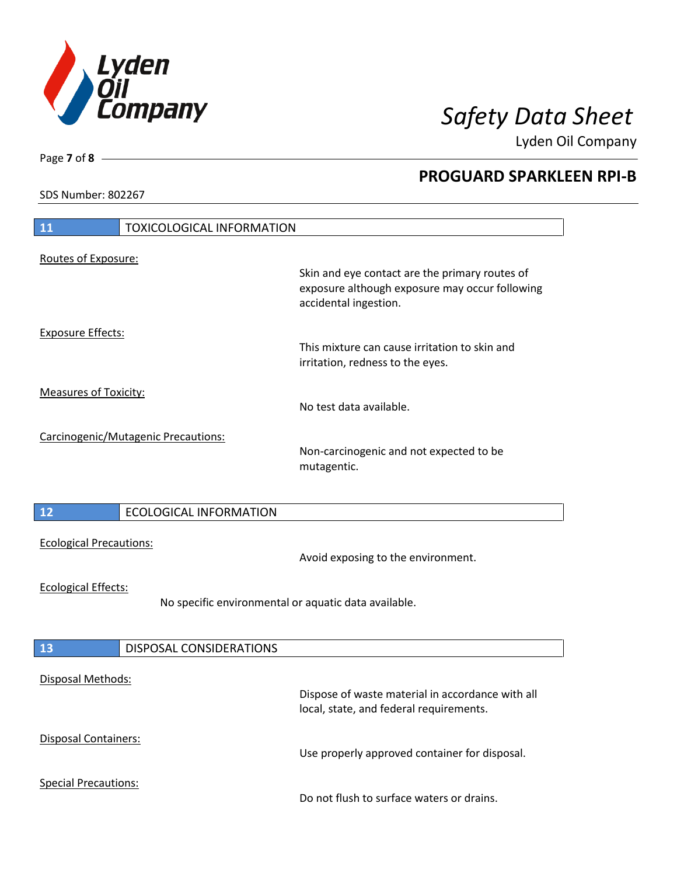

Lyden Oil Company

SDS Number: 802267

| 11<br><b>TOXICOLOGICAL INFORMATION</b>                                             |                                                                                                                           |
|------------------------------------------------------------------------------------|---------------------------------------------------------------------------------------------------------------------------|
| Routes of Exposure:                                                                | Skin and eye contact are the primary routes of<br>exposure although exposure may occur following<br>accidental ingestion. |
| <b>Exposure Effects:</b>                                                           | This mixture can cause irritation to skin and<br>irritation, redness to the eyes.                                         |
| <b>Measures of Toxicity:</b>                                                       | No test data available.                                                                                                   |
| Carcinogenic/Mutagenic Precautions:                                                | Non-carcinogenic and not expected to be<br>mutagentic.                                                                    |
| $\boxed{12}$<br><b>ECOLOGICAL INFORMATION</b>                                      |                                                                                                                           |
| <b>Ecological Precautions:</b>                                                     | Avoid exposing to the environment.                                                                                        |
| <b>Ecological Effects:</b><br>No specific environmental or aquatic data available. |                                                                                                                           |
| 13<br><b>DISPOSAL CONSIDERATIONS</b>                                               |                                                                                                                           |
| <b>Disposal Methods:</b>                                                           | Dispose of waste material in accordance with all<br>local, state, and federal requirements.                               |
| <b>Disposal Containers:</b>                                                        | Use properly approved container for disposal.                                                                             |
| <b>Special Precautions:</b>                                                        | Do not flush to surface waters or drains.                                                                                 |

Page **7** of **8**